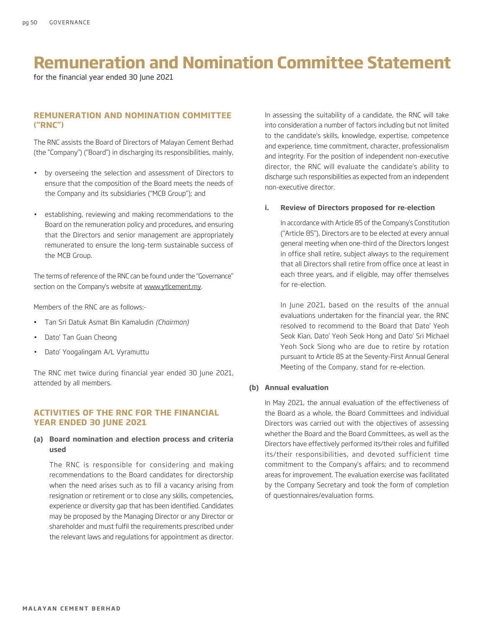for the financial year ended 30 June 2021

## **REMUNERATION AND NOMINATION COMMITTEE ("RNC")**

The RNC assists the Board of Directors of Malayan Cement Berhad (the "Company") ("Board") in discharging its responsibilities, mainly,

- by overseeing the selection and assessment of Directors to ensure that the composition of the Board meets the needs of the Company and its subsidiaries ("MCB Group"); and
- establishing, reviewing and making recommendations to the Board on the remuneration policy and procedures, and ensuring that the Directors and senior management are appropriately remunerated to ensure the long-term sustainable success of the MCB Group.

The terms of reference of the RNC can be found under the "Governance" section on the Company's website at www.ytlcement.my.

Members of the RNC are as follows:-

- • Tan Sri Datuk Asmat Bin Kamaludin *(Chairman)*
- Dato' Tan Guan Cheong
- Dato' Yoogalingam A/L Vyramuttu

The RNC met twice during financial year ended 30 June 2021, attended by all members.

## **ACTIVITIES OF THE RNC FOR THE FINANCIAL YEAR ENDED 30 JUNE 2021**

#### **(a) Board nomination and election process and criteria used**

The RNC is responsible for considering and making recommendations to the Board candidates for directorship when the need arises such as to fill a vacancy arising from resignation or retirement or to close any skills, competencies, experience or diversity gap that has been identified. Candidates may be proposed by the Managing Director or any Director or shareholder and must fulfil the requirements prescribed under the relevant laws and regulations for appointment as director.

In assessing the suitability of a candidate, the RNC will take into consideration a number of factors including but not limited to the candidate's skills, knowledge, expertise, competence and experience, time commitment, character, professionalism and integrity. For the position of independent non-executive director, the RNC will evaluate the candidate's ability to discharge such responsibilities as expected from an independent non-executive director.

#### **i. Review of Directors proposed for re-election**

In accordance with Article 85 of the Company's Constitution ("Article 85"), Directors are to be elected at every annual general meeting when one-third of the Directors longest in office shall retire, subject always to the requirement that all Directors shall retire from office once at least in each three years, and if eligible, may offer themselves for re-election.

In June 2021, based on the results of the annual evaluations undertaken for the financial year, the RNC resolved to recommend to the Board that Dato' Yeoh Seok Kian, Dato' Yeoh Seok Hong and Dato' Sri Michael Yeoh Sock Siong who are due to retire by rotation pursuant to Article 85 at the Seventy-First Annual General Meeting of the Company, stand for re-election.

#### **(b) Annual evaluation**

In May 2021, the annual evaluation of the effectiveness of the Board as a whole, the Board Committees and individual Directors was carried out with the objectives of assessing whether the Board and the Board Committees, as well as the Directors have effectively performed its/their roles and fulfilled its/their responsibilities, and devoted sufficient time commitment to the Company's affairs; and to recommend areas for improvement. The evaluation exercise was facilitated by the Company Secretary and took the form of completion of questionnaires/evaluation forms.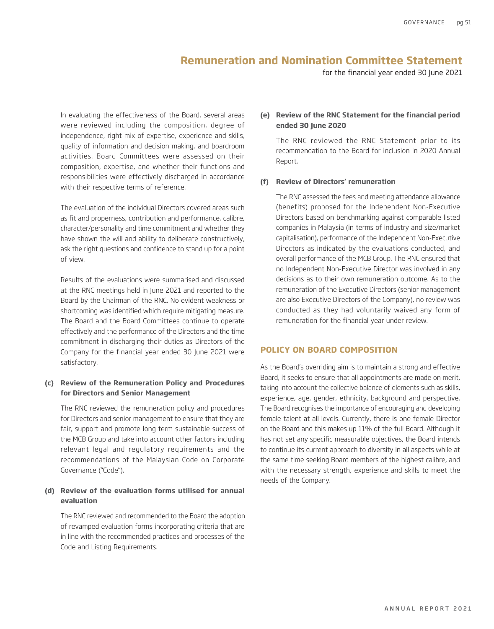for the financial year ended 30 June 2021

In evaluating the effectiveness of the Board, several areas were reviewed including the composition, degree of independence, right mix of expertise, experience and skills, quality of information and decision making, and boardroom activities. Board Committees were assessed on their composition, expertise, and whether their functions and responsibilities were effectively discharged in accordance with their respective terms of reference.

The evaluation of the individual Directors covered areas such as fit and properness, contribution and performance, calibre, character/personality and time commitment and whether they have shown the will and ability to deliberate constructively, ask the right questions and confidence to stand up for a point of view.

Results of the evaluations were summarised and discussed at the RNC meetings held in June 2021 and reported to the Board by the Chairman of the RNC. No evident weakness or shortcoming was identified which require mitigating measure. The Board and the Board Committees continue to operate effectively and the performance of the Directors and the time commitment in discharging their duties as Directors of the Company for the financial year ended 30 June 2021 were satisfactory.

#### **(c) Review of the Remuneration Policy and Procedures for Directors and Senior Management**

The RNC reviewed the remuneration policy and procedures for Directors and senior management to ensure that they are fair, support and promote long term sustainable success of the MCB Group and take into account other factors including relevant legal and regulatory requirements and the recommendations of the Malaysian Code on Corporate Governance ("Code").

## **(d) Review of the evaluation forms utilised for annual evaluation**

The RNC reviewed and recommended to the Board the adoption of revamped evaluation forms incorporating criteria that are in line with the recommended practices and processes of the Code and Listing Requirements.

### **(e) Review of the RNC Statement for the financial period ended 30 June 2020**

The RNC reviewed the RNC Statement prior to its recommendation to the Board for inclusion in 2020 Annual Report.

#### **(f) Review of Directors' remuneration**

The RNC assessed the fees and meeting attendance allowance (benefits) proposed for the Independent Non-Executive Directors based on benchmarking against comparable listed companies in Malaysia (in terms of industry and size/market capitalisation), performance of the Independent Non-Executive Directors as indicated by the evaluations conducted, and overall performance of the MCB Group. The RNC ensured that no Independent Non-Executive Director was involved in any decisions as to their own remuneration outcome. As to the remuneration of the Executive Directors (senior management are also Executive Directors of the Company), no review was conducted as they had voluntarily waived any form of remuneration for the financial year under review.

#### **POLICY ON BOARD COMPOSITION**

As the Board's overriding aim is to maintain a strong and effective Board, it seeks to ensure that all appointments are made on merit, taking into account the collective balance of elements such as skills, experience, age, gender, ethnicity, background and perspective. The Board recognises the importance of encouraging and developing female talent at all levels. Currently, there is one female Director on the Board and this makes up 11% of the full Board. Although it has not set any specific measurable objectives, the Board intends to continue its current approach to diversity in all aspects while at the same time seeking Board members of the highest calibre, and with the necessary strength, experience and skills to meet the needs of the Company.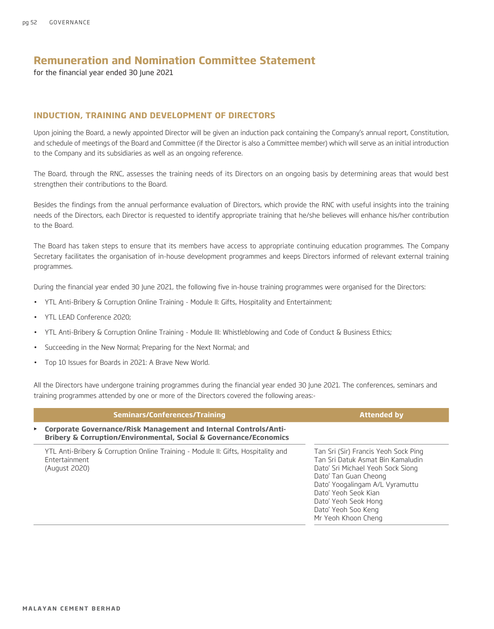for the financial year ended 30 June 2021

### **INDUCTION, TRAINING AND DEVELOPMENT OF DIRECTORS**

Upon joining the Board, a newly appointed Director will be given an induction pack containing the Company's annual report, Constitution, and schedule of meetings of the Board and Committee (if the Director is also a Committee member) which will serve as an initial introduction to the Company and its subsidiaries as well as an ongoing reference.

The Board, through the RNC, assesses the training needs of its Directors on an ongoing basis by determining areas that would best strengthen their contributions to the Board.

Besides the findings from the annual performance evaluation of Directors, which provide the RNC with useful insights into the training needs of the Directors, each Director is requested to identify appropriate training that he/she believes will enhance his/her contribution to the Board.

The Board has taken steps to ensure that its members have access to appropriate continuing education programmes. The Company Secretary facilitates the organisation of in-house development programmes and keeps Directors informed of relevant external training programmes.

During the financial year ended 30 June 2021, the following five in-house training programmes were organised for the Directors:

- YTL Anti-Bribery & Corruption Online Training Module II: Gifts, Hospitality and Entertainment;
- YTL LEAD Conference 2020;
- YTL Anti-Bribery & Corruption Online Training Module III: Whistleblowing and Code of Conduct & Business Ethics;
- Succeeding in the New Normal; Preparing for the Next Normal; and
- Top 10 Issues for Boards in 2021: A Brave New World.

All the Directors have undergone training programmes during the financial year ended 30 June 2021. The conferences, seminars and training programmes attended by one or more of the Directors covered the following areas:-

| Seminars/Conferences/Training                                                                                                           | <b>Attended by</b>                                                                                                                                                                                                                                                       |
|-----------------------------------------------------------------------------------------------------------------------------------------|--------------------------------------------------------------------------------------------------------------------------------------------------------------------------------------------------------------------------------------------------------------------------|
| ▶ Corporate Governance/Risk Management and Internal Controls/Anti-<br>Bribery & Corruption/Environmental, Social & Governance/Economics |                                                                                                                                                                                                                                                                          |
| YTL Anti-Bribery & Corruption Online Training - Module II: Gifts, Hospitality and<br>Entertainment<br>(August 2020)                     | Tan Sri (Sir) Francis Yeoh Sock Ping<br>Tan Sri Datuk Asmat Bin Kamaludin<br>Dato' Sri Michael Yeoh Sock Siong<br>Dato' Tan Guan Cheong<br>Dato' Yoogalingam A/L Vyramuttu<br>Dato' Yeoh Seok Kian<br>Dato' Yeoh Seok Hong<br>Dato' Yeoh Soo Keng<br>Mr Yeoh Khoon Cheng |